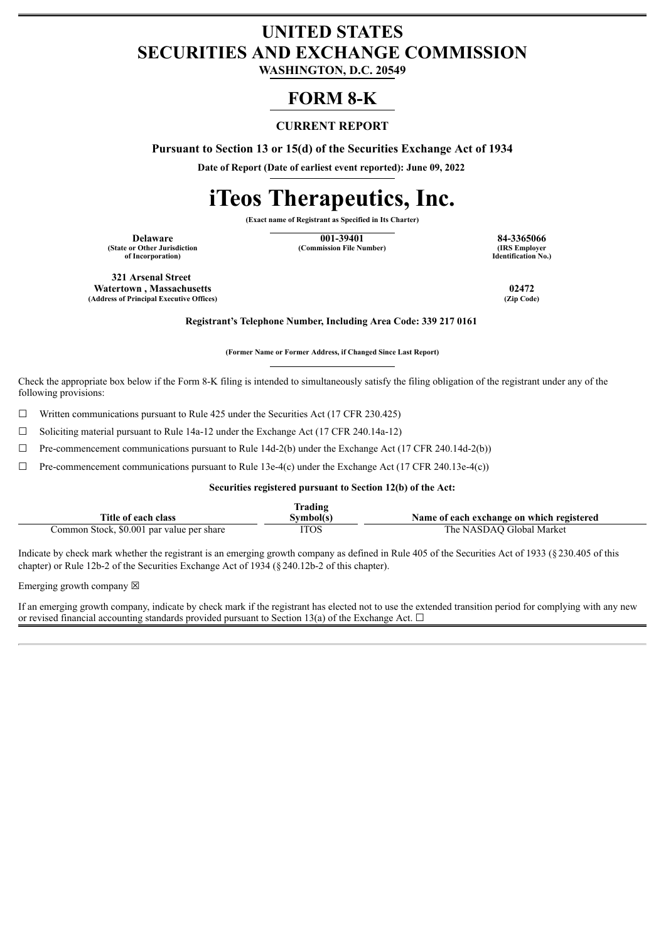# **UNITED STATES SECURITIES AND EXCHANGE COMMISSION**

**WASHINGTON, D.C. 20549**

# **FORM 8-K**

#### **CURRENT REPORT**

**Pursuant to Section 13 or 15(d) of the Securities Exchange Act of 1934**

**Date of Report (Date of earliest event reported): June 09, 2022**

# **iTeos Therapeutics, Inc.**

**(Exact name of Registrant as Specified in Its Charter)**

**(State or Other Jurisdiction of Incorporation)**

**Delaware 101-39401 84-3365066**<br> **101-39401 84-3365066**<br> **101-39401 Commission File Number 108 Commission File Number 108 Comployer (Commission File Number)** 

**Identification No.)**

**321 Arsenal Street Watertown , Massachusetts 02472**  $(A$ ddress of Principal Executive Offices)

**Registrant's Telephone Number, Including Area Code: 339 217 0161**

**(Former Name or Former Address, if Changed Since Last Report)**

Check the appropriate box below if the Form 8-K filing is intended to simultaneously satisfy the filing obligation of the registrant under any of the following provisions:

 $\Box$  Written communications pursuant to Rule 425 under the Securities Act (17 CFR 230.425)

☐ Soliciting material pursuant to Rule 14a-12 under the Exchange Act (17 CFR 240.14a-12)

 $\Box$  Pre-commencement communications pursuant to Rule 14d-2(b) under the Exchange Act (17 CFR 240.14d-2(b))

 $\Box$  Pre-commencement communications pursuant to Rule 13e-4(c) under the Exchange Act (17 CFR 240.13e-4(c))

**Securities registered pursuant to Section 12(b) of the Act:**

|                                           | <b>Trading</b> |                                           |
|-------------------------------------------|----------------|-------------------------------------------|
| Title of each class                       | Svmbol(s`      | Name of each exchange on which registered |
| Common Stock, \$0.001 par value per share | <b>ITOS</b>    | The NASDAO Global Market                  |

Indicate by check mark whether the registrant is an emerging growth company as defined in Rule 405 of the Securities Act of 1933 (§230.405 of this chapter) or Rule 12b-2 of the Securities Exchange Act of 1934 (§240.12b-2 of this chapter).

Emerging growth company  $\boxtimes$ 

If an emerging growth company, indicate by check mark if the registrant has elected not to use the extended transition period for complying with any new or revised financial accounting standards provided pursuant to Section 13(a) of the Exchange Act.  $\Box$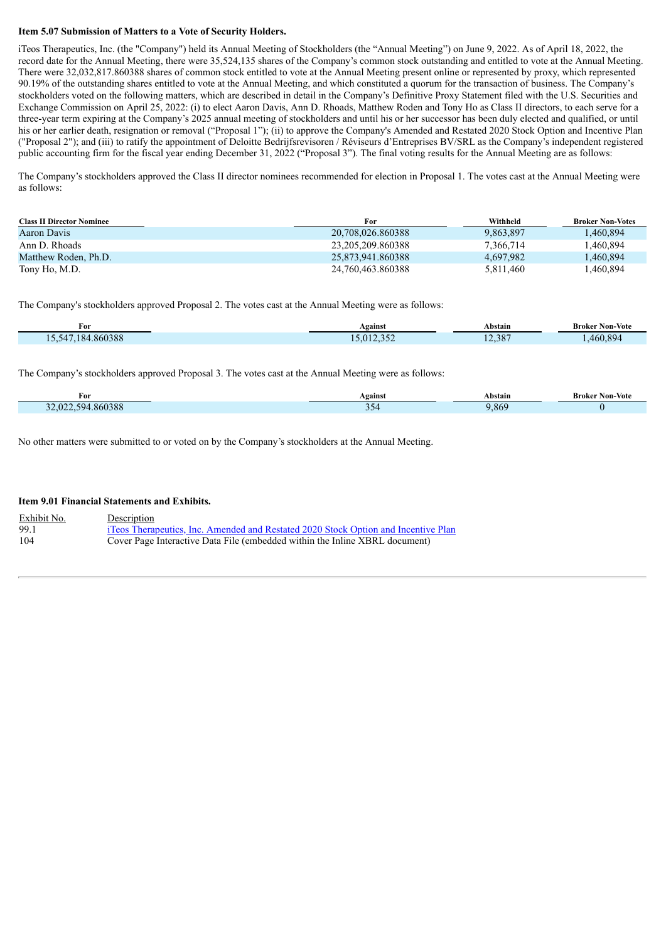#### **Item 5.07 Submission of Matters to a Vote of Security Holders.**

iTeos Therapeutics, Inc. (the "Company") held its Annual Meeting of Stockholders (the "Annual Meeting") on June 9, 2022. As of April 18, 2022, the record date for the Annual Meeting, there were 35,524,135 shares of the Company's common stock outstanding and entitled to vote at the Annual Meeting. There were 32,032,817.860388 shares of common stock entitled to vote at the Annual Meeting present online or represented by proxy, which represented 90.19% of the outstanding shares entitled to vote at the Annual Meeting, and which constituted a quorum for the transaction of business. The Company's stockholders voted on the following matters, which are described in detail in the Company's Definitive Proxy Statement filed with the U.S. Securities and Exchange Commission on April 25, 2022: (i) to elect Aaron Davis, Ann D. Rhoads, Matthew Roden and Tony Ho as Class II directors, to each serve for a three-year term expiring at the Company's 2025 annual meeting of stockholders and until his or her successor has been duly elected and qualified, or until his or her earlier death, resignation or removal ("Proposal 1"); (ii) to approve the Company's Amended and Restated 2020 Stock Option and Incentive Plan ("Proposal 2"); and (iii) to ratify the appointment of Deloitte Bedrijfsrevisoren / Réviseurs d'Entreprises BV/SRL as the Company's independent registered public accounting firm for the fiscal year ending December 31, 2022 ("Proposal 3"). The final voting results for the Annual Meeting are as follows:

The Company's stockholders approved the Class II director nominees recommended for election in Proposal 1. The votes cast at the Annual Meeting were as follows:

| <b>Class II Director Nominee</b> | For               | Withheld  | <b>Broker Non-Votes</b> |  |
|----------------------------------|-------------------|-----------|-------------------------|--|
| Aaron Davis                      | 20.708.026.860388 | 9.863.897 | .460.894                |  |
| Ann D. Rhoads                    | 23.205.209.860388 | 7.366.714 | 1.460.894               |  |
| Matthew Roden, Ph.D.             | 25.873.941.860388 | 4.697.982 | .460,894                |  |
| Tony Ho, M.D.                    | 24.760.463.860388 | 5,811,460 | .460,894                |  |

The Company's stockholders approved Proposal 2. The votes cast at the Annual Meeting were as follows:

| For                        | Against                   | Abstain | $-$<br><b>Broker Non-Vote</b> |
|----------------------------|---------------------------|---------|-------------------------------|
| +.860388<br>15 547<br>.184 | 5.012.352<br>$.912.332 -$ | 12,387  | .460.894                      |

The Company's stockholders approved Proposal 3. The votes cast at the Annual Meeting were as follows:

| For                         | Against  | Abstain | Non-Vote<br>Broker |
|-----------------------------|----------|---------|--------------------|
| .860388<br>594<br>ിറ്റ<br>້ | ٦4<br>-- | 9,869   |                    |

No other matters were submitted to or voted on by the Company's stockholders at the Annual Meeting.

#### **Item 9.01 Financial Statements and Exhibits.**

Exhibit No. Description 99.1 iTeos [Therapeutics,](#page-3-0) Inc. Amended and Restated 2020 Stock Option and Incentive Plan<br>104 Cover Page Interactive Data File (embedded within the Inline XBRL document) Cover Page Interactive Data File (embedded within the Inline XBRL document)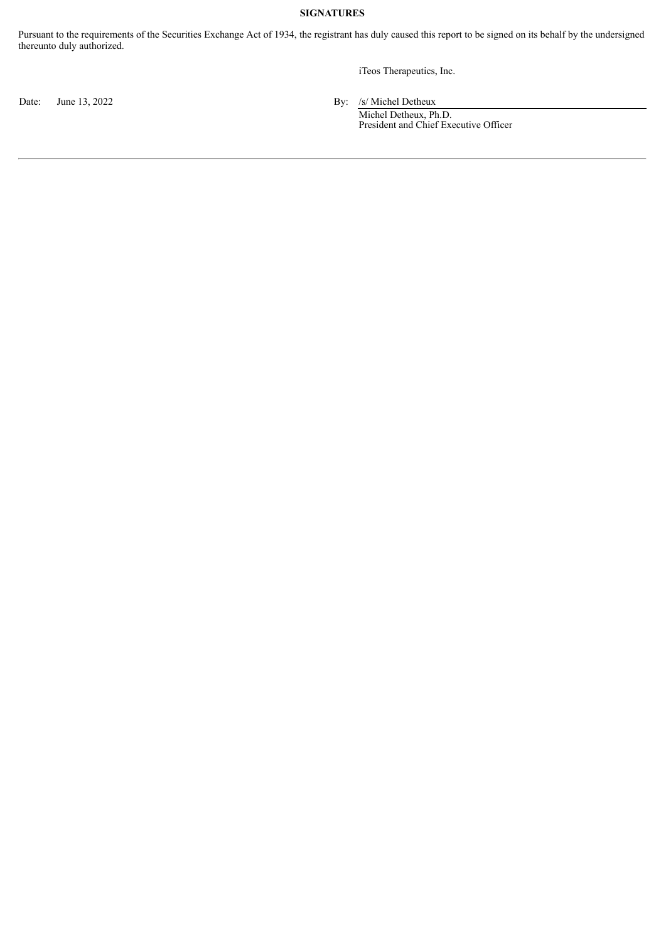#### **SIGNATURES**

Pursuant to the requirements of the Securities Exchange Act of 1934, the registrant has duly caused this report to be signed on its behalf by the undersigned thereunto duly authorized.

iTeos Therapeutics, Inc.

Date: June 13, 2022 By: /s/ Michel Detheux

Michel Detheux, Ph.D. President and Chief Executive Officer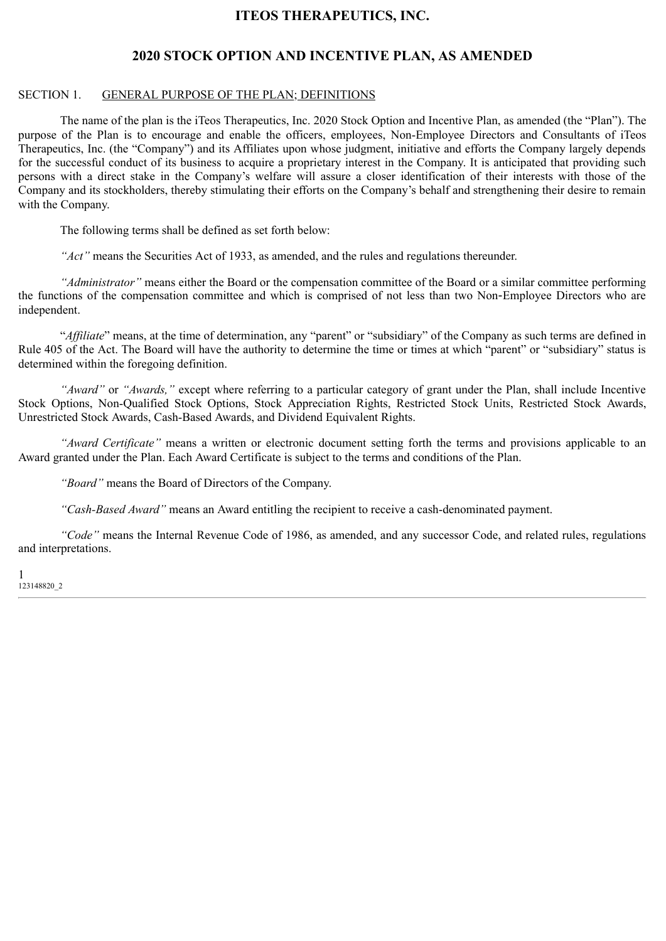# **ITEOS THERAPEUTICS, INC.**

## **2020 STOCK OPTION AND INCENTIVE PLAN, AS AMENDED**

#### <span id="page-3-0"></span>SECTION 1. GENERAL PURPOSE OF THE PLAN; DEFINITIONS

The name of the plan is the iTeos Therapeutics, Inc. 2020 Stock Option and Incentive Plan, as amended (the "Plan"). The purpose of the Plan is to encourage and enable the officers, employees, Non-Employee Directors and Consultants of iTeos Therapeutics, Inc. (the "Company") and its Affiliates upon whose judgment, initiative and efforts the Company largely depends for the successful conduct of its business to acquire a proprietary interest in the Company. It is anticipated that providing such persons with a direct stake in the Company's welfare will assure a closer identification of their interests with those of the Company and its stockholders, thereby stimulating their efforts on the Company's behalf and strengthening their desire to remain with the Company.

The following terms shall be defined as set forth below:

*"Act"* means the Securities Act of 1933, as amended, and the rules and regulations thereunder.

*"Administrator"* means either the Board or the compensation committee of the Board or a similar committee performing the functions of the compensation committee and which is comprised of not less than two Non-Employee Directors who are independent.

"*Affiliate*" means, at the time of determination, any "parent" or "subsidiary" of the Company as such terms are defined in Rule 405 of the Act. The Board will have the authority to determine the time or times at which "parent" or "subsidiary" status is determined within the foregoing definition.

*"Award"* or *"Awards,"* except where referring to a particular category of grant under the Plan, shall include Incentive Stock Options, Non-Qualified Stock Options, Stock Appreciation Rights, Restricted Stock Units, Restricted Stock Awards, Unrestricted Stock Awards, Cash-Based Awards, and Dividend Equivalent Rights.

*"Award Certificate"* means a written or electronic document setting forth the terms and provisions applicable to an Award granted under the Plan. Each Award Certificate is subject to the terms and conditions of the Plan.

*"Board"* means the Board of Directors of the Company.

*"Cash-Based Award"* means an Award entitling the recipient to receive a cash-denominated payment.

*"Code"* means the Internal Revenue Code of 1986, as amended, and any successor Code, and related rules, regulations and interpretations.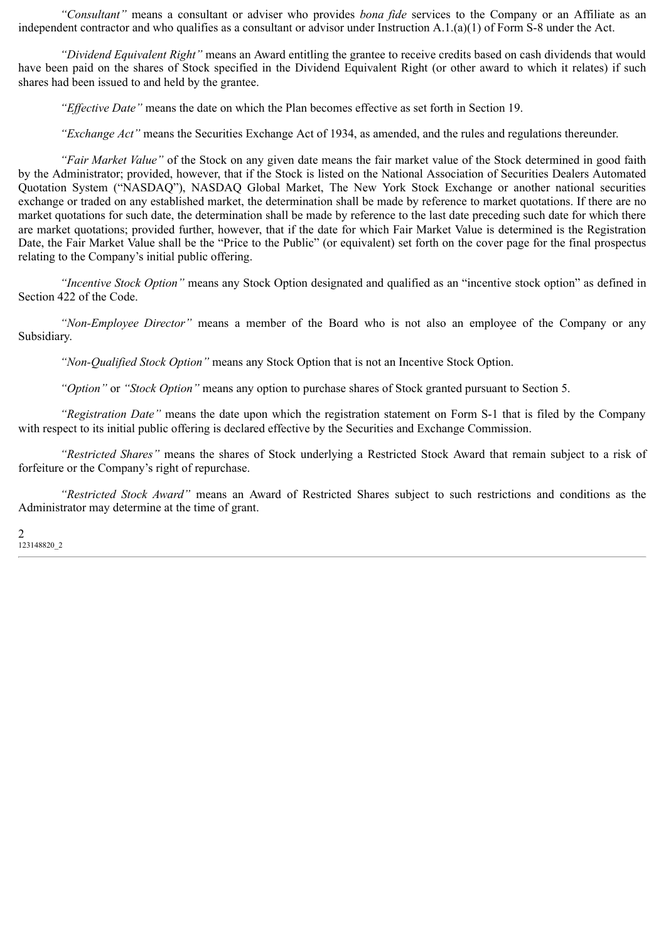*"Consultant"* means a consultant or adviser who provides *bona fide* services to the Company or an Affiliate as an independent contractor and who qualifies as a consultant or advisor under Instruction  $A.1(a)(1)$  of Form S-8 under the Act.

*"Dividend Equivalent Right"* means an Award entitling the grantee to receive credits based on cash dividends that would have been paid on the shares of Stock specified in the Dividend Equivalent Right (or other award to which it relates) if such shares had been issued to and held by the grantee.

*"Effective Date"* means the date on which the Plan becomes effective as set forth in Section 19.

*"Exchange Act"* means the Securities Exchange Act of 1934, as amended, and the rules and regulations thereunder.

*"Fair Market Value"* of the Stock on any given date means the fair market value of the Stock determined in good faith by the Administrator; provided, however, that if the Stock is listed on the National Association of Securities Dealers Automated Quotation System ("NASDAQ"), NASDAQ Global Market, The New York Stock Exchange or another national securities exchange or traded on any established market, the determination shall be made by reference to market quotations. If there are no market quotations for such date, the determination shall be made by reference to the last date preceding such date for which there are market quotations; provided further, however, that if the date for which Fair Market Value is determined is the Registration Date, the Fair Market Value shall be the "Price to the Public" (or equivalent) set forth on the cover page for the final prospectus relating to the Company's initial public offering.

*"Incentive Stock Option"* means any Stock Option designated and qualified as an "incentive stock option" as defined in Section 422 of the Code.

*"Non-Employee Director"* means a member of the Board who is not also an employee of the Company or any Subsidiary.

*"Non-Qualified Stock Option"* means any Stock Option that is not an Incentive Stock Option.

*"Option"* or *"Stock Option"* means any option to purchase shares of Stock granted pursuant to Section 5.

*"Registration Date"* means the date upon which the registration statement on Form S-1 that is filed by the Company with respect to its initial public offering is declared effective by the Securities and Exchange Commission.

*"Restricted Shares"* means the shares of Stock underlying a Restricted Stock Award that remain subject to a risk of forfeiture or the Company's right of repurchase.

*"Restricted Stock Award"* means an Award of Restricted Shares subject to such restrictions and conditions as the Administrator may determine at the time of grant.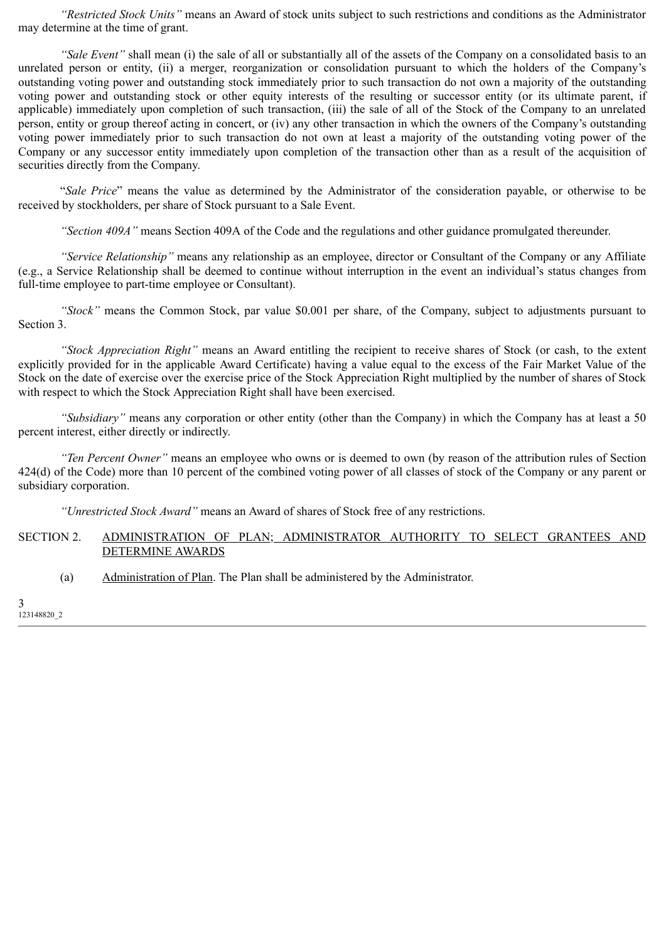*"Restricted Stock Units"* means an Award of stock units subject to such restrictions and conditions as the Administrator may determine at the time of grant.

*"Sale Event"* shall mean (i) the sale of all or substantially all of the assets of the Company on a consolidated basis to an unrelated person or entity, (ii) a merger, reorganization or consolidation pursuant to which the holders of the Company's outstanding voting power and outstanding stock immediately prior to such transaction do not own a majority of the outstanding voting power and outstanding stock or other equity interests of the resulting or successor entity (or its ultimate parent, if applicable) immediately upon completion of such transaction, (iii) the sale of all of the Stock of the Company to an unrelated person, entity or group thereof acting in concert, or (iv) any other transaction in which the owners of the Company's outstanding voting power immediately prior to such transaction do not own at least a majority of the outstanding voting power of the Company or any successor entity immediately upon completion of the transaction other than as a result of the acquisition of securities directly from the Company.

"*Sale Price*" means the value as determined by the Administrator of the consideration payable, or otherwise to be received by stockholders, per share of Stock pursuant to a Sale Event.

*"Section 409A"* means Section 409A of the Code and the regulations and other guidance promulgated thereunder.

*"Service Relationship"* means any relationship as an employee, director or Consultant of the Company or any Affiliate (e.g., a Service Relationship shall be deemed to continue without interruption in the event an individual's status changes from full-time employee to part-time employee or Consultant).

*"Stock"* means the Common Stock, par value \$0.001 per share, of the Company, subject to adjustments pursuant to Section 3.

*"Stock Appreciation Right"* means an Award entitling the recipient to receive shares of Stock (or cash, to the extent explicitly provided for in the applicable Award Certificate) having a value equal to the excess of the Fair Market Value of the Stock on the date of exercise over the exercise price of the Stock Appreciation Right multiplied by the number of shares of Stock with respect to which the Stock Appreciation Right shall have been exercised.

*"Subsidiary"* means any corporation or other entity (other than the Company) in which the Company has at least a 50 percent interest, either directly or indirectly.

*"Ten Percent Owner"* means an employee who owns or is deemed to own (by reason of the attribution rules of Section 424(d) of the Code) more than 10 percent of the combined voting power of all classes of stock of the Company or any parent or subsidiary corporation.

*"Unrestricted Stock Award"* means an Award of shares of Stock free of any restrictions.

#### SECTION 2. ADMINISTRATION OF PLAN; ADMINISTRATOR AUTHORITY TO SELECT GRANTEES AND DETERMINE AWARDS

(a) Administration of Plan. The Plan shall be administered by the Administrator.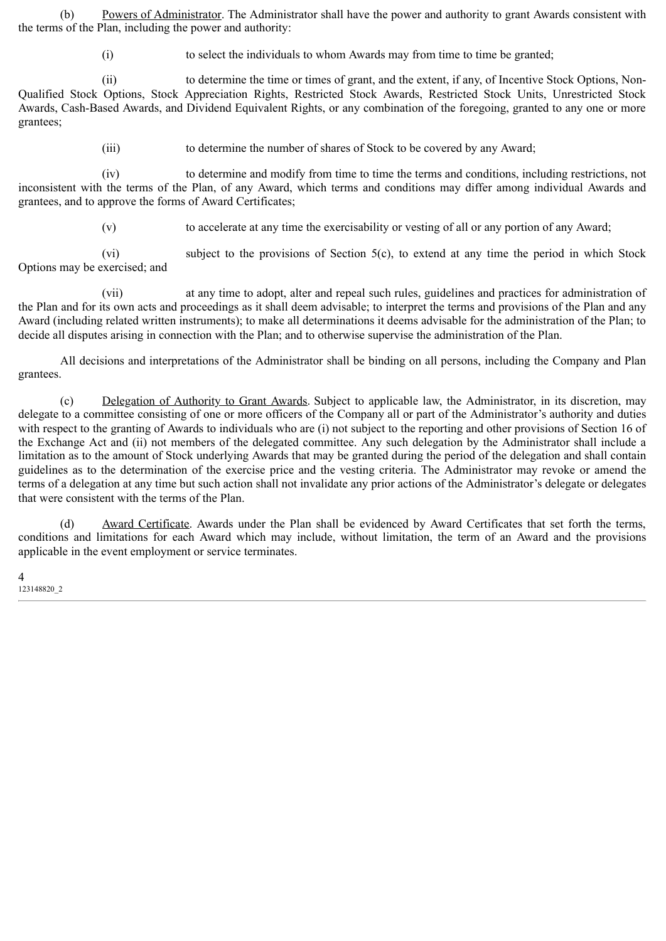(b) Powers of Administrator. The Administrator shall have the power and authority to grant Awards consistent with the terms of the Plan, including the power and authority:

(i) to select the individuals to whom Awards may from time to time be granted;

(ii) to determine the time or times of grant, and the extent, if any, of Incentive Stock Options, Non-Qualified Stock Options, Stock Appreciation Rights, Restricted Stock Awards, Restricted Stock Units, Unrestricted Stock Awards, Cash-Based Awards, and Dividend Equivalent Rights, or any combination of the foregoing, granted to any one or more grantees;

(iii) to determine the number of shares of Stock to be covered by any Award;

(iv) to determine and modify from time to time the terms and conditions, including restrictions, not inconsistent with the terms of the Plan, of any Award, which terms and conditions may differ among individual Awards and grantees, and to approve the forms of Award Certificates;

(v) to accelerate at any time the exercisability or vesting of all or any portion of any Award;

(vi) subject to the provisions of Section 5(c), to extend at any time the period in which Stock Options may be exercised; and

(vii) at any time to adopt, alter and repeal such rules, guidelines and practices for administration of the Plan and for its own acts and proceedings as it shall deem advisable; to interpret the terms and provisions of the Plan and any Award (including related written instruments); to make all determinations it deems advisable for the administration of the Plan; to decide all disputes arising in connection with the Plan; and to otherwise supervise the administration of the Plan.

All decisions and interpretations of the Administrator shall be binding on all persons, including the Company and Plan grantees.

(c) Delegation of Authority to Grant Awards. Subject to applicable law, the Administrator, in its discretion, may delegate to a committee consisting of one or more officers of the Company all or part of the Administrator's authority and duties with respect to the granting of Awards to individuals who are (i) not subject to the reporting and other provisions of Section 16 of the Exchange Act and (ii) not members of the delegated committee. Any such delegation by the Administrator shall include a limitation as to the amount of Stock underlying Awards that may be granted during the period of the delegation and shall contain guidelines as to the determination of the exercise price and the vesting criteria. The Administrator may revoke or amend the terms of a delegation at any time but such action shall not invalidate any prior actions of the Administrator's delegate or delegates that were consistent with the terms of the Plan.

(d) Award Certificate. Awards under the Plan shall be evidenced by Award Certificates that set forth the terms, conditions and limitations for each Award which may include, without limitation, the term of an Award and the provisions applicable in the event employment or service terminates.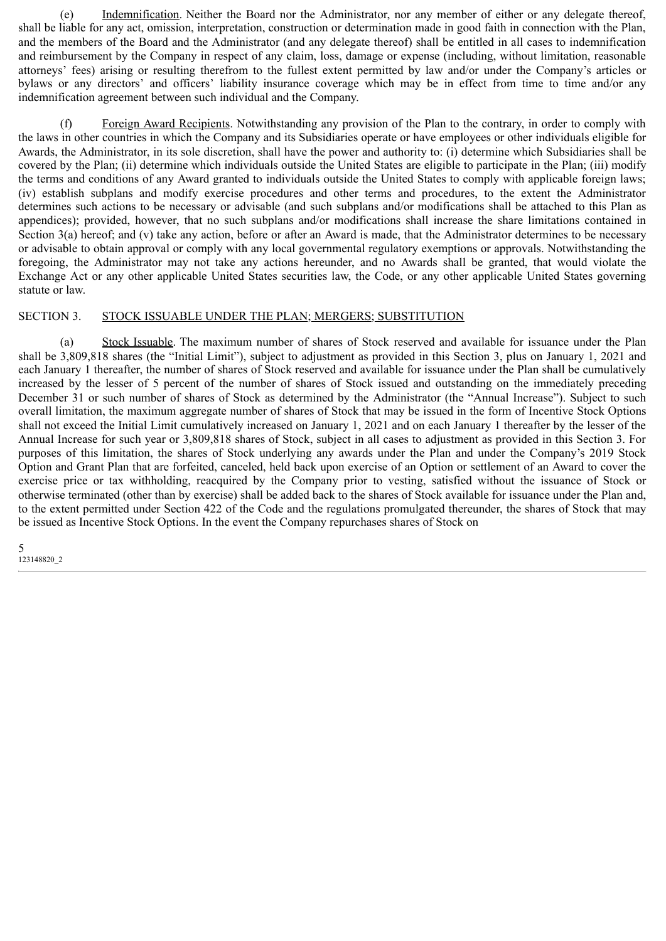(e) Indemnification. Neither the Board nor the Administrator, nor any member of either or any delegate thereof, shall be liable for any act, omission, interpretation, construction or determination made in good faith in connection with the Plan, and the members of the Board and the Administrator (and any delegate thereof) shall be entitled in all cases to indemnification and reimbursement by the Company in respect of any claim, loss, damage or expense (including, without limitation, reasonable attorneys' fees) arising or resulting therefrom to the fullest extent permitted by law and/or under the Company's articles or bylaws or any directors' and officers' liability insurance coverage which may be in effect from time to time and/or any indemnification agreement between such individual and the Company.

(f) Foreign Award Recipients. Notwithstanding any provision of the Plan to the contrary, in order to comply with the laws in other countries in which the Company and its Subsidiaries operate or have employees or other individuals eligible for Awards, the Administrator, in its sole discretion, shall have the power and authority to: (i) determine which Subsidiaries shall be covered by the Plan; (ii) determine which individuals outside the United States are eligible to participate in the Plan; (iii) modify the terms and conditions of any Award granted to individuals outside the United States to comply with applicable foreign laws; (iv) establish subplans and modify exercise procedures and other terms and procedures, to the extent the Administrator determines such actions to be necessary or advisable (and such subplans and/or modifications shall be attached to this Plan as appendices); provided, however, that no such subplans and/or modifications shall increase the share limitations contained in Section 3(a) hereof; and (v) take any action, before or after an Award is made, that the Administrator determines to be necessary or advisable to obtain approval or comply with any local governmental regulatory exemptions or approvals. Notwithstanding the foregoing, the Administrator may not take any actions hereunder, and no Awards shall be granted, that would violate the Exchange Act or any other applicable United States securities law, the Code, or any other applicable United States governing statute or law.

#### SECTION 3. STOCK ISSUABLE UNDER THE PLAN; MERGERS; SUBSTITUTION

(a) Stock Issuable. The maximum number of shares of Stock reserved and available for issuance under the Plan shall be 3,809,818 shares (the "Initial Limit"), subject to adjustment as provided in this Section 3, plus on January 1, 2021 and each January 1 thereafter, the number of shares of Stock reserved and available for issuance under the Plan shall be cumulatively increased by the lesser of 5 percent of the number of shares of Stock issued and outstanding on the immediately preceding December 31 or such number of shares of Stock as determined by the Administrator (the "Annual Increase"). Subject to such overall limitation, the maximum aggregate number of shares of Stock that may be issued in the form of Incentive Stock Options shall not exceed the Initial Limit cumulatively increased on January 1, 2021 and on each January 1 thereafter by the lesser of the Annual Increase for such year or 3,809,818 shares of Stock, subject in all cases to adjustment as provided in this Section 3. For purposes of this limitation, the shares of Stock underlying any awards under the Plan and under the Company's 2019 Stock Option and Grant Plan that are forfeited, canceled, held back upon exercise of an Option or settlement of an Award to cover the exercise price or tax withholding, reacquired by the Company prior to vesting, satisfied without the issuance of Stock or otherwise terminated (other than by exercise) shall be added back to the shares of Stock available for issuance under the Plan and, to the extent permitted under Section 422 of the Code and the regulations promulgated thereunder, the shares of Stock that may be issued as Incentive Stock Options. In the event the Company repurchases shares of Stock on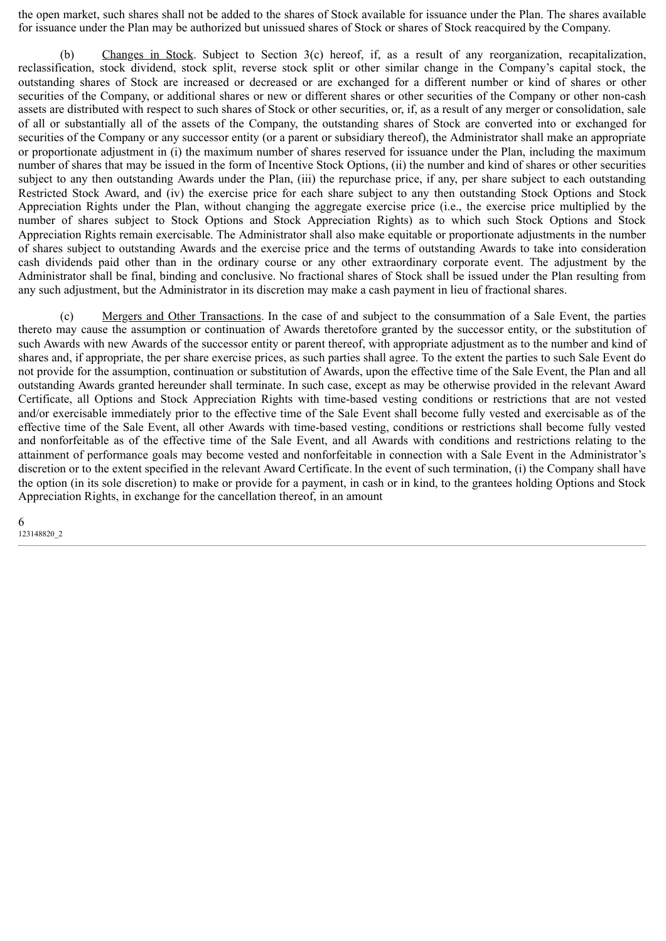the open market, such shares shall not be added to the shares of Stock available for issuance under the Plan. The shares available for issuance under the Plan may be authorized but unissued shares of Stock or shares of Stock reacquired by the Company.

(b) Changes in Stock. Subject to Section 3(c) hereof, if, as a result of any reorganization, recapitalization, reclassification, stock dividend, stock split, reverse stock split or other similar change in the Company's capital stock, the outstanding shares of Stock are increased or decreased or are exchanged for a different number or kind of shares or other securities of the Company, or additional shares or new or different shares or other securities of the Company or other non-cash assets are distributed with respect to such shares of Stock or other securities, or, if, as a result of any merger or consolidation, sale of all or substantially all of the assets of the Company, the outstanding shares of Stock are converted into or exchanged for securities of the Company or any successor entity (or a parent or subsidiary thereof), the Administrator shall make an appropriate or proportionate adjustment in (i) the maximum number of shares reserved for issuance under the Plan, including the maximum number of shares that may be issued in the form of Incentive Stock Options, (ii) the number and kind of shares or other securities subject to any then outstanding Awards under the Plan, (iii) the repurchase price, if any, per share subject to each outstanding Restricted Stock Award, and (iv) the exercise price for each share subject to any then outstanding Stock Options and Stock Appreciation Rights under the Plan, without changing the aggregate exercise price (i.e., the exercise price multiplied by the number of shares subject to Stock Options and Stock Appreciation Rights) as to which such Stock Options and Stock Appreciation Rights remain exercisable. The Administrator shall also make equitable or proportionate adjustments in the number of shares subject to outstanding Awards and the exercise price and the terms of outstanding Awards to take into consideration cash dividends paid other than in the ordinary course or any other extraordinary corporate event. The adjustment by the Administrator shall be final, binding and conclusive. No fractional shares of Stock shall be issued under the Plan resulting from any such adjustment, but the Administrator in its discretion may make a cash payment in lieu of fractional shares.

(c) Mergers and Other Transactions. In the case of and subject to the consummation of a Sale Event, the parties thereto may cause the assumption or continuation of Awards theretofore granted by the successor entity, or the substitution of such Awards with new Awards of the successor entity or parent thereof, with appropriate adjustment as to the number and kind of shares and, if appropriate, the per share exercise prices, as such parties shall agree. To the extent the parties to such Sale Event do not provide for the assumption, continuation or substitution of Awards, upon the effective time of the Sale Event, the Plan and all outstanding Awards granted hereunder shall terminate. In such case, except as may be otherwise provided in the relevant Award Certificate, all Options and Stock Appreciation Rights with time-based vesting conditions or restrictions that are not vested and/or exercisable immediately prior to the effective time of the Sale Event shall become fully vested and exercisable as of the effective time of the Sale Event, all other Awards with time-based vesting, conditions or restrictions shall become fully vested and nonforfeitable as of the effective time of the Sale Event, and all Awards with conditions and restrictions relating to the attainment of performance goals may become vested and nonforfeitable in connection with a Sale Event in the Administrator's discretion or to the extent specified in the relevant Award Certificate. In the event of such termination, (i) the Company shall have the option (in its sole discretion) to make or provide for a payment, in cash or in kind, to the grantees holding Options and Stock Appreciation Rights, in exchange for the cancellation thereof, in an amount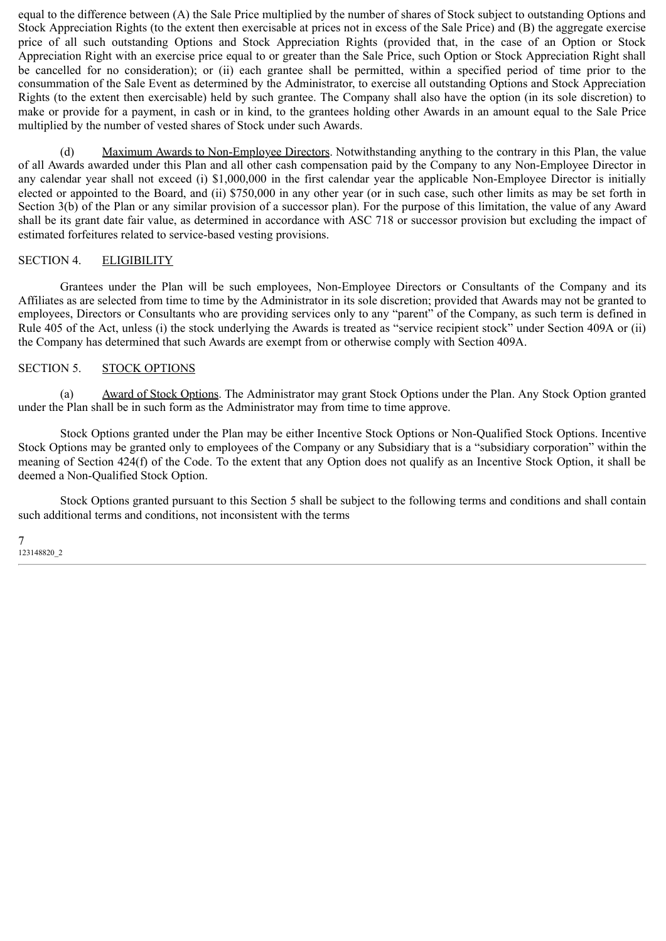equal to the difference between (A) the Sale Price multiplied by the number of shares of Stock subject to outstanding Options and Stock Appreciation Rights (to the extent then exercisable at prices not in excess of the Sale Price) and (B) the aggregate exercise price of all such outstanding Options and Stock Appreciation Rights (provided that, in the case of an Option or Stock Appreciation Right with an exercise price equal to or greater than the Sale Price, such Option or Stock Appreciation Right shall be cancelled for no consideration); or (ii) each grantee shall be permitted, within a specified period of time prior to the consummation of the Sale Event as determined by the Administrator, to exercise all outstanding Options and Stock Appreciation Rights (to the extent then exercisable) held by such grantee. The Company shall also have the option (in its sole discretion) to make or provide for a payment, in cash or in kind, to the grantees holding other Awards in an amount equal to the Sale Price multiplied by the number of vested shares of Stock under such Awards.

(d) Maximum Awards to Non-Employee Directors. Notwithstanding anything to the contrary in this Plan, the value of all Awards awarded under this Plan and all other cash compensation paid by the Company to any Non-Employee Director in any calendar year shall not exceed (i) \$1,000,000 in the first calendar year the applicable Non-Employee Director is initially elected or appointed to the Board, and (ii) \$750,000 in any other year (or in such case, such other limits as may be set forth in Section 3(b) of the Plan or any similar provision of a successor plan). For the purpose of this limitation, the value of any Award shall be its grant date fair value, as determined in accordance with ASC 718 or successor provision but excluding the impact of estimated forfeitures related to service-based vesting provisions.

#### SECTION 4. ELIGIBILITY

Grantees under the Plan will be such employees, Non-Employee Directors or Consultants of the Company and its Affiliates as are selected from time to time by the Administrator in its sole discretion; provided that Awards may not be granted to employees, Directors or Consultants who are providing services only to any "parent" of the Company, as such term is defined in Rule 405 of the Act, unless (i) the stock underlying the Awards is treated as "service recipient stock" under Section 409A or (ii) the Company has determined that such Awards are exempt from or otherwise comply with Section 409A.

#### SECTION 5. STOCK OPTIONS

(a) Award of Stock Options. The Administrator may grant Stock Options under the Plan. Any Stock Option granted under the Plan shall be in such form as the Administrator may from time to time approve.

Stock Options granted under the Plan may be either Incentive Stock Options or Non-Qualified Stock Options. Incentive Stock Options may be granted only to employees of the Company or any Subsidiary that is a "subsidiary corporation" within the meaning of Section 424(f) of the Code. To the extent that any Option does not qualify as an Incentive Stock Option, it shall be deemed a Non-Qualified Stock Option.

Stock Options granted pursuant to this Section 5 shall be subject to the following terms and conditions and shall contain such additional terms and conditions, not inconsistent with the terms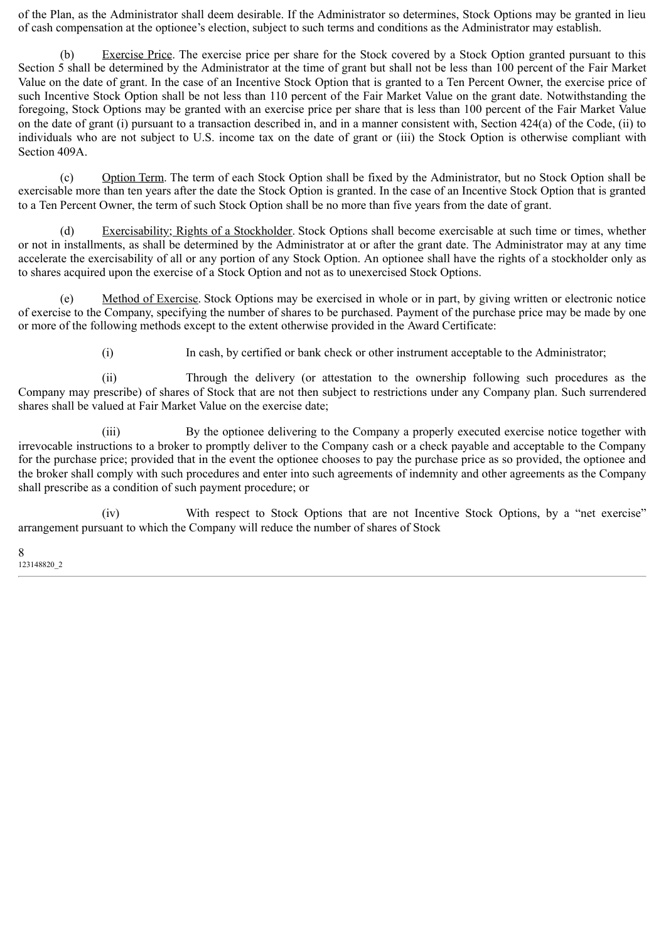of the Plan, as the Administrator shall deem desirable. If the Administrator so determines, Stock Options may be granted in lieu of cash compensation at the optionee's election, subject to such terms and conditions as the Administrator may establish.

(b) Exercise Price. The exercise price per share for the Stock covered by a Stock Option granted pursuant to this Section 5 shall be determined by the Administrator at the time of grant but shall not be less than 100 percent of the Fair Market Value on the date of grant. In the case of an Incentive Stock Option that is granted to a Ten Percent Owner, the exercise price of such Incentive Stock Option shall be not less than 110 percent of the Fair Market Value on the grant date. Notwithstanding the foregoing, Stock Options may be granted with an exercise price per share that is less than 100 percent of the Fair Market Value on the date of grant (i) pursuant to a transaction described in, and in a manner consistent with, Section 424(a) of the Code, (ii) to individuals who are not subject to U.S. income tax on the date of grant or (iii) the Stock Option is otherwise compliant with Section 409A.

(c) Option Term. The term of each Stock Option shall be fixed by the Administrator, but no Stock Option shall be exercisable more than ten years after the date the Stock Option is granted. In the case of an Incentive Stock Option that is granted to a Ten Percent Owner, the term of such Stock Option shall be no more than five years from the date of grant.

(d) Exercisability; Rights of a Stockholder. Stock Options shall become exercisable at such time or times, whether or not in installments, as shall be determined by the Administrator at or after the grant date. The Administrator may at any time accelerate the exercisability of all or any portion of any Stock Option. An optionee shall have the rights of a stockholder only as to shares acquired upon the exercise of a Stock Option and not as to unexercised Stock Options.

(e) Method of Exercise. Stock Options may be exercised in whole or in part, by giving written or electronic notice of exercise to the Company, specifying the number of shares to be purchased. Payment of the purchase price may be made by one or more of the following methods except to the extent otherwise provided in the Award Certificate:

(i) In cash, by certified or bank check or other instrument acceptable to the Administrator;

(ii) Through the delivery (or attestation to the ownership following such procedures as the Company may prescribe) of shares of Stock that are not then subject to restrictions under any Company plan. Such surrendered shares shall be valued at Fair Market Value on the exercise date;

(iii) By the optionee delivering to the Company a properly executed exercise notice together with irrevocable instructions to a broker to promptly deliver to the Company cash or a check payable and acceptable to the Company for the purchase price; provided that in the event the optionee chooses to pay the purchase price as so provided, the optionee and the broker shall comply with such procedures and enter into such agreements of indemnity and other agreements as the Company shall prescribe as a condition of such payment procedure; or

(iv) With respect to Stock Options that are not Incentive Stock Options, by a "net exercise" arrangement pursuant to which the Company will reduce the number of shares of Stock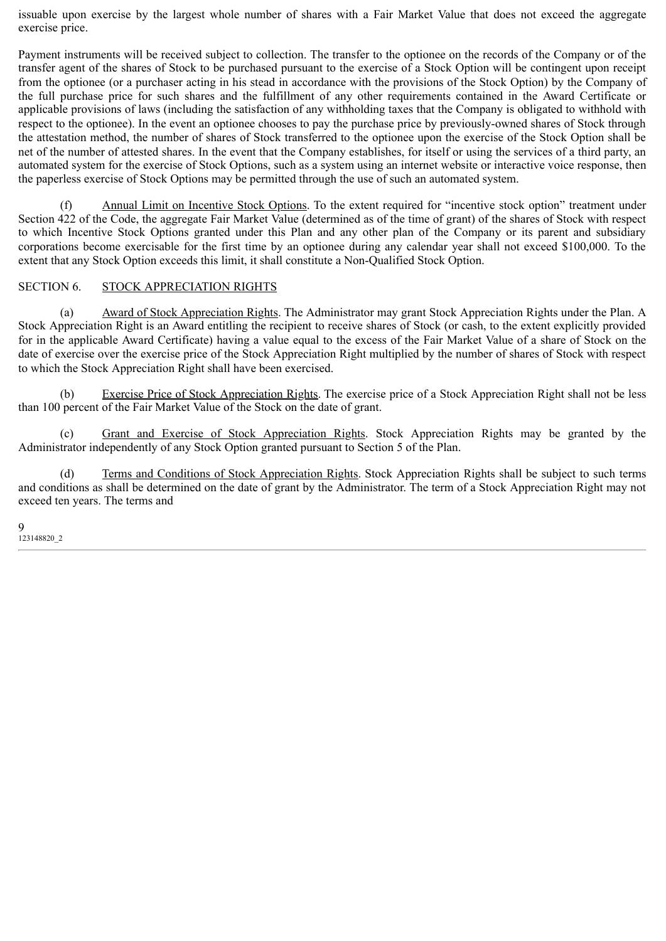issuable upon exercise by the largest whole number of shares with a Fair Market Value that does not exceed the aggregate exercise price.

Payment instruments will be received subject to collection. The transfer to the optionee on the records of the Company or of the transfer agent of the shares of Stock to be purchased pursuant to the exercise of a Stock Option will be contingent upon receipt from the optionee (or a purchaser acting in his stead in accordance with the provisions of the Stock Option) by the Company of the full purchase price for such shares and the fulfillment of any other requirements contained in the Award Certificate or applicable provisions of laws (including the satisfaction of any withholding taxes that the Company is obligated to withhold with respect to the optionee). In the event an optionee chooses to pay the purchase price by previously-owned shares of Stock through the attestation method, the number of shares of Stock transferred to the optionee upon the exercise of the Stock Option shall be net of the number of attested shares. In the event that the Company establishes, for itself or using the services of a third party, an automated system for the exercise of Stock Options, such as a system using an internet website or interactive voice response, then the paperless exercise of Stock Options may be permitted through the use of such an automated system.

(f) Annual Limit on Incentive Stock Options. To the extent required for "incentive stock option" treatment under Section 422 of the Code, the aggregate Fair Market Value (determined as of the time of grant) of the shares of Stock with respect to which Incentive Stock Options granted under this Plan and any other plan of the Company or its parent and subsidiary corporations become exercisable for the first time by an optionee during any calendar year shall not exceed \$100,000. To the extent that any Stock Option exceeds this limit, it shall constitute a Non-Qualified Stock Option.

#### SECTION 6. STOCK APPRECIATION RIGHTS

(a) Award of Stock Appreciation Rights. The Administrator may grant Stock Appreciation Rights under the Plan. A Stock Appreciation Right is an Award entitling the recipient to receive shares of Stock (or cash, to the extent explicitly provided for in the applicable Award Certificate) having a value equal to the excess of the Fair Market Value of a share of Stock on the date of exercise over the exercise price of the Stock Appreciation Right multiplied by the number of shares of Stock with respect to which the Stock Appreciation Right shall have been exercised.

(b) Exercise Price of Stock Appreciation Rights. The exercise price of a Stock Appreciation Right shall not be less than 100 percent of the Fair Market Value of the Stock on the date of grant.

(c) Grant and Exercise of Stock Appreciation Rights. Stock Appreciation Rights may be granted by the Administrator independently of any Stock Option granted pursuant to Section 5 of the Plan.

(d) Terms and Conditions of Stock Appreciation Rights. Stock Appreciation Rights shall be subject to such terms and conditions as shall be determined on the date of grant by the Administrator. The term of a Stock Appreciation Right may not exceed ten years. The terms and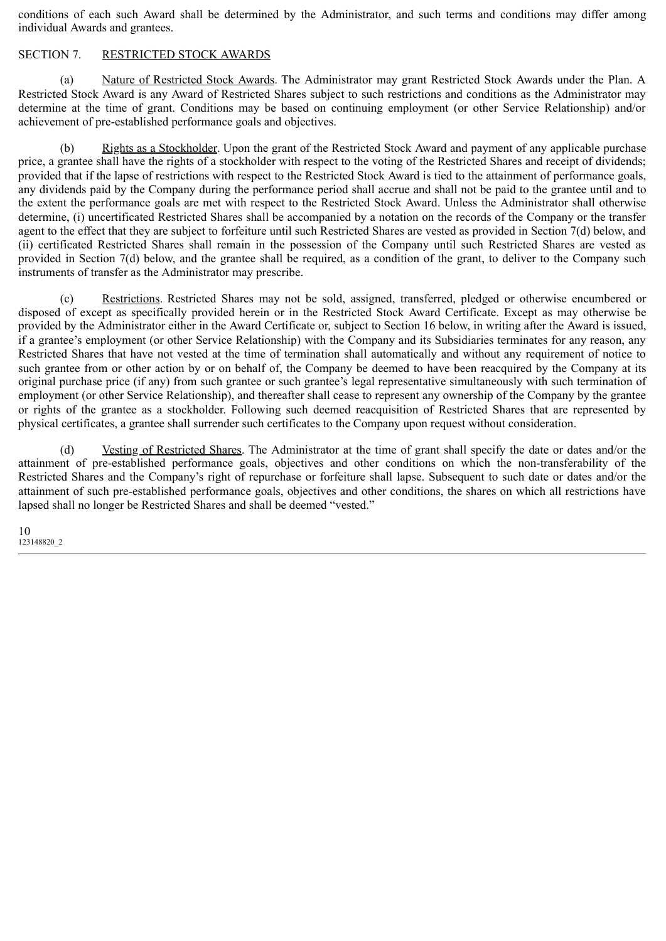conditions of each such Award shall be determined by the Administrator, and such terms and conditions may differ among individual Awards and grantees.

#### SECTION 7. RESTRICTED STOCK AWARDS

(a) Nature of Restricted Stock Awards. The Administrator may grant Restricted Stock Awards under the Plan. A Restricted Stock Award is any Award of Restricted Shares subject to such restrictions and conditions as the Administrator may determine at the time of grant. Conditions may be based on continuing employment (or other Service Relationship) and/or achievement of pre-established performance goals and objectives.

(b) Rights as a Stockholder. Upon the grant of the Restricted Stock Award and payment of any applicable purchase price, a grantee shall have the rights of a stockholder with respect to the voting of the Restricted Shares and receipt of dividends; provided that if the lapse of restrictions with respect to the Restricted Stock Award is tied to the attainment of performance goals, any dividends paid by the Company during the performance period shall accrue and shall not be paid to the grantee until and to the extent the performance goals are met with respect to the Restricted Stock Award. Unless the Administrator shall otherwise determine, (i) uncertificated Restricted Shares shall be accompanied by a notation on the records of the Company or the transfer agent to the effect that they are subject to forfeiture until such Restricted Shares are vested as provided in Section 7(d) below, and (ii) certificated Restricted Shares shall remain in the possession of the Company until such Restricted Shares are vested as provided in Section 7(d) below, and the grantee shall be required, as a condition of the grant, to deliver to the Company such instruments of transfer as the Administrator may prescribe.

(c) Restrictions. Restricted Shares may not be sold, assigned, transferred, pledged or otherwise encumbered or disposed of except as specifically provided herein or in the Restricted Stock Award Certificate. Except as may otherwise be provided by the Administrator either in the Award Certificate or, subject to Section 16 below, in writing after the Award is issued, if a grantee's employment (or other Service Relationship) with the Company and its Subsidiaries terminates for any reason, any Restricted Shares that have not vested at the time of termination shall automatically and without any requirement of notice to such grantee from or other action by or on behalf of, the Company be deemed to have been reacquired by the Company at its original purchase price (if any) from such grantee or such grantee's legal representative simultaneously with such termination of employment (or other Service Relationship), and thereafter shall cease to represent any ownership of the Company by the grantee or rights of the grantee as a stockholder. Following such deemed reacquisition of Restricted Shares that are represented by physical certificates, a grantee shall surrender such certificates to the Company upon request without consideration.

(d) Vesting of Restricted Shares. The Administrator at the time of grant shall specify the date or dates and/or the attainment of pre-established performance goals, objectives and other conditions on which the non-transferability of the Restricted Shares and the Company's right of repurchase or forfeiture shall lapse. Subsequent to such date or dates and/or the attainment of such pre-established performance goals, objectives and other conditions, the shares on which all restrictions have lapsed shall no longer be Restricted Shares and shall be deemed "vested."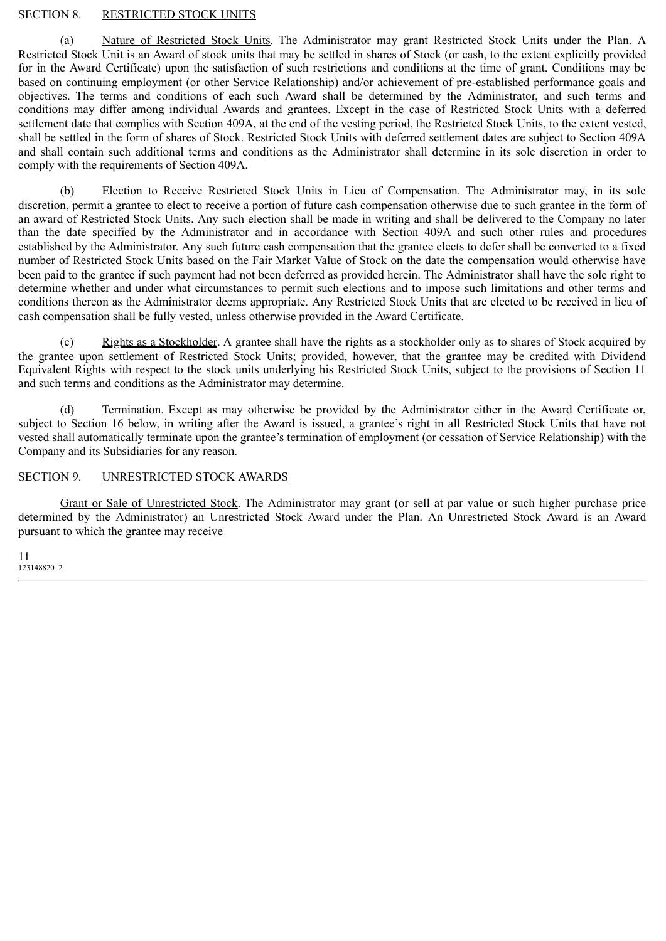#### SECTION 8. RESTRICTED STOCK UNITS

(a) Nature of Restricted Stock Units. The Administrator may grant Restricted Stock Units under the Plan. A Restricted Stock Unit is an Award of stock units that may be settled in shares of Stock (or cash, to the extent explicitly provided for in the Award Certificate) upon the satisfaction of such restrictions and conditions at the time of grant. Conditions may be based on continuing employment (or other Service Relationship) and/or achievement of pre-established performance goals and objectives. The terms and conditions of each such Award shall be determined by the Administrator, and such terms and conditions may differ among individual Awards and grantees. Except in the case of Restricted Stock Units with a deferred settlement date that complies with Section 409A, at the end of the vesting period, the Restricted Stock Units, to the extent vested, shall be settled in the form of shares of Stock. Restricted Stock Units with deferred settlement dates are subject to Section 409A and shall contain such additional terms and conditions as the Administrator shall determine in its sole discretion in order to comply with the requirements of Section 409A.

(b) Election to Receive Restricted Stock Units in Lieu of Compensation. The Administrator may, in its sole discretion, permit a grantee to elect to receive a portion of future cash compensation otherwise due to such grantee in the form of an award of Restricted Stock Units. Any such election shall be made in writing and shall be delivered to the Company no later than the date specified by the Administrator and in accordance with Section 409A and such other rules and procedures established by the Administrator. Any such future cash compensation that the grantee elects to defer shall be converted to a fixed number of Restricted Stock Units based on the Fair Market Value of Stock on the date the compensation would otherwise have been paid to the grantee if such payment had not been deferred as provided herein. The Administrator shall have the sole right to determine whether and under what circumstances to permit such elections and to impose such limitations and other terms and conditions thereon as the Administrator deems appropriate. Any Restricted Stock Units that are elected to be received in lieu of cash compensation shall be fully vested, unless otherwise provided in the Award Certificate.

(c) Rights as a Stockholder. A grantee shall have the rights as a stockholder only as to shares of Stock acquired by the grantee upon settlement of Restricted Stock Units; provided, however, that the grantee may be credited with Dividend Equivalent Rights with respect to the stock units underlying his Restricted Stock Units, subject to the provisions of Section 11 and such terms and conditions as the Administrator may determine.

(d) Termination. Except as may otherwise be provided by the Administrator either in the Award Certificate or, subject to Section 16 below, in writing after the Award is issued, a grantee's right in all Restricted Stock Units that have not vested shall automatically terminate upon the grantee's termination of employment (or cessation of Service Relationship) with the Company and its Subsidiaries for any reason.

## SECTION 9. UNRESTRICTED STOCK AWARDS

Grant or Sale of Unrestricted Stock. The Administrator may grant (or sell at par value or such higher purchase price determined by the Administrator) an Unrestricted Stock Award under the Plan. An Unrestricted Stock Award is an Award pursuant to which the grantee may receive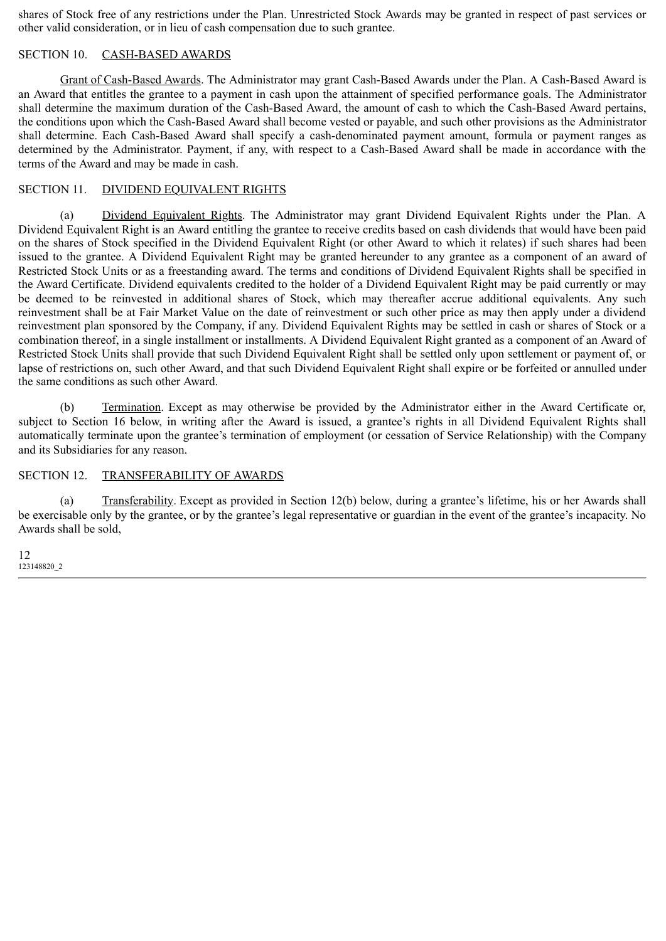shares of Stock free of any restrictions under the Plan. Unrestricted Stock Awards may be granted in respect of past services or other valid consideration, or in lieu of cash compensation due to such grantee.

#### SECTION 10. CASH-BASED AWARDS

Grant of Cash-Based Awards. The Administrator may grant Cash-Based Awards under the Plan. A Cash-Based Award is an Award that entitles the grantee to a payment in cash upon the attainment of specified performance goals. The Administrator shall determine the maximum duration of the Cash-Based Award, the amount of cash to which the Cash-Based Award pertains, the conditions upon which the Cash-Based Award shall become vested or payable, and such other provisions as the Administrator shall determine. Each Cash-Based Award shall specify a cash-denominated payment amount, formula or payment ranges as determined by the Administrator. Payment, if any, with respect to a Cash-Based Award shall be made in accordance with the terms of the Award and may be made in cash.

#### SECTION 11. DIVIDEND EQUIVALENT RIGHTS

(a) Dividend Equivalent Rights. The Administrator may grant Dividend Equivalent Rights under the Plan. A Dividend Equivalent Right is an Award entitling the grantee to receive credits based on cash dividends that would have been paid on the shares of Stock specified in the Dividend Equivalent Right (or other Award to which it relates) if such shares had been issued to the grantee. A Dividend Equivalent Right may be granted hereunder to any grantee as a component of an award of Restricted Stock Units or as a freestanding award. The terms and conditions of Dividend Equivalent Rights shall be specified in the Award Certificate. Dividend equivalents credited to the holder of a Dividend Equivalent Right may be paid currently or may be deemed to be reinvested in additional shares of Stock, which may thereafter accrue additional equivalents. Any such reinvestment shall be at Fair Market Value on the date of reinvestment or such other price as may then apply under a dividend reinvestment plan sponsored by the Company, if any. Dividend Equivalent Rights may be settled in cash or shares of Stock or a combination thereof, in a single installment or installments. A Dividend Equivalent Right granted as a component of an Award of Restricted Stock Units shall provide that such Dividend Equivalent Right shall be settled only upon settlement or payment of, or lapse of restrictions on, such other Award, and that such Dividend Equivalent Right shall expire or be forfeited or annulled under the same conditions as such other Award.

(b) Termination. Except as may otherwise be provided by the Administrator either in the Award Certificate or, subject to Section 16 below, in writing after the Award is issued, a grantee's rights in all Dividend Equivalent Rights shall automatically terminate upon the grantee's termination of employment (or cessation of Service Relationship) with the Company and its Subsidiaries for any reason.

#### SECTION 12. TRANSFERABILITY OF AWARDS

(a) Transferability. Except as provided in Section 12(b) below, during a grantee's lifetime, his or her Awards shall be exercisable only by the grantee, or by the grantee's legal representative or guardian in the event of the grantee's incapacity. No Awards shall be sold,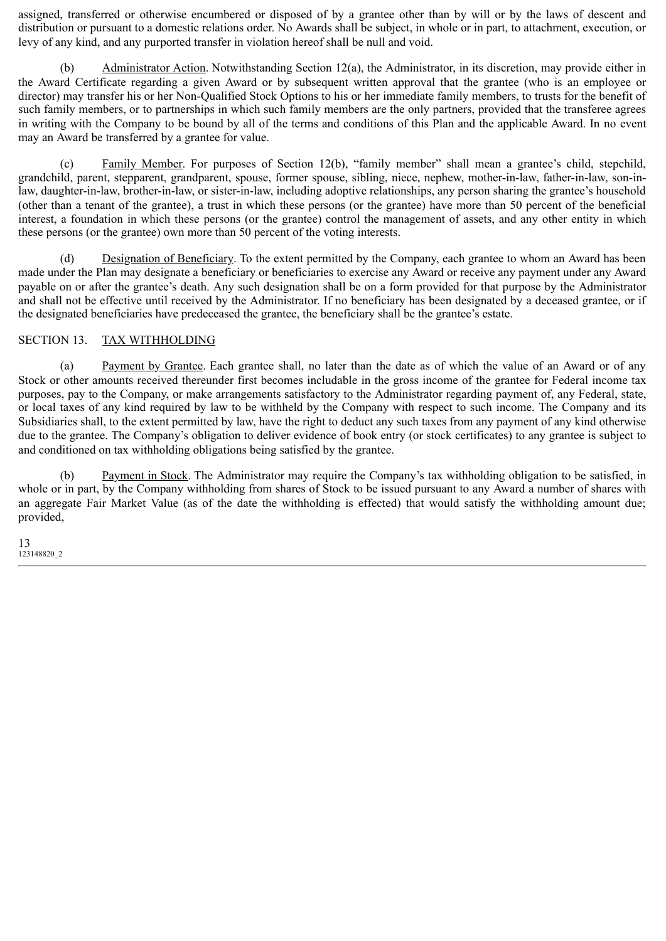assigned, transferred or otherwise encumbered or disposed of by a grantee other than by will or by the laws of descent and distribution or pursuant to a domestic relations order. No Awards shall be subject, in whole or in part, to attachment, execution, or levy of any kind, and any purported transfer in violation hereof shall be null and void.

(b) Administrator Action. Notwithstanding Section 12(a), the Administrator, in its discretion, may provide either in the Award Certificate regarding a given Award or by subsequent written approval that the grantee (who is an employee or director) may transfer his or her Non-Qualified Stock Options to his or her immediate family members, to trusts for the benefit of such family members, or to partnerships in which such family members are the only partners, provided that the transferee agrees in writing with the Company to be bound by all of the terms and conditions of this Plan and the applicable Award. In no event may an Award be transferred by a grantee for value.

(c) Family Member. For purposes of Section 12(b), "family member" shall mean a grantee's child, stepchild, grandchild, parent, stepparent, grandparent, spouse, former spouse, sibling, niece, nephew, mother-in-law, father-in-law, son-inlaw, daughter-in-law, brother-in-law, or sister-in-law, including adoptive relationships, any person sharing the grantee's household (other than a tenant of the grantee), a trust in which these persons (or the grantee) have more than 50 percent of the beneficial interest, a foundation in which these persons (or the grantee) control the management of assets, and any other entity in which these persons (or the grantee) own more than 50 percent of the voting interests.

(d) Designation of Beneficiary. To the extent permitted by the Company, each grantee to whom an Award has been made under the Plan may designate a beneficiary or beneficiaries to exercise any Award or receive any payment under any Award payable on or after the grantee's death. Any such designation shall be on a form provided for that purpose by the Administrator and shall not be effective until received by the Administrator. If no beneficiary has been designated by a deceased grantee, or if the designated beneficiaries have predeceased the grantee, the beneficiary shall be the grantee's estate.

#### SECTION 13. TAX WITHHOLDING

(a) Payment by Grantee. Each grantee shall, no later than the date as of which the value of an Award or of any Stock or other amounts received thereunder first becomes includable in the gross income of the grantee for Federal income tax purposes, pay to the Company, or make arrangements satisfactory to the Administrator regarding payment of, any Federal, state, or local taxes of any kind required by law to be withheld by the Company with respect to such income. The Company and its Subsidiaries shall, to the extent permitted by law, have the right to deduct any such taxes from any payment of any kind otherwise due to the grantee. The Company's obligation to deliver evidence of book entry (or stock certificates) to any grantee is subject to and conditioned on tax withholding obligations being satisfied by the grantee.

(b) Payment in Stock. The Administrator may require the Company's tax withholding obligation to be satisfied, in whole or in part, by the Company withholding from shares of Stock to be issued pursuant to any Award a number of shares with an aggregate Fair Market Value (as of the date the withholding is effected) that would satisfy the withholding amount due; provided,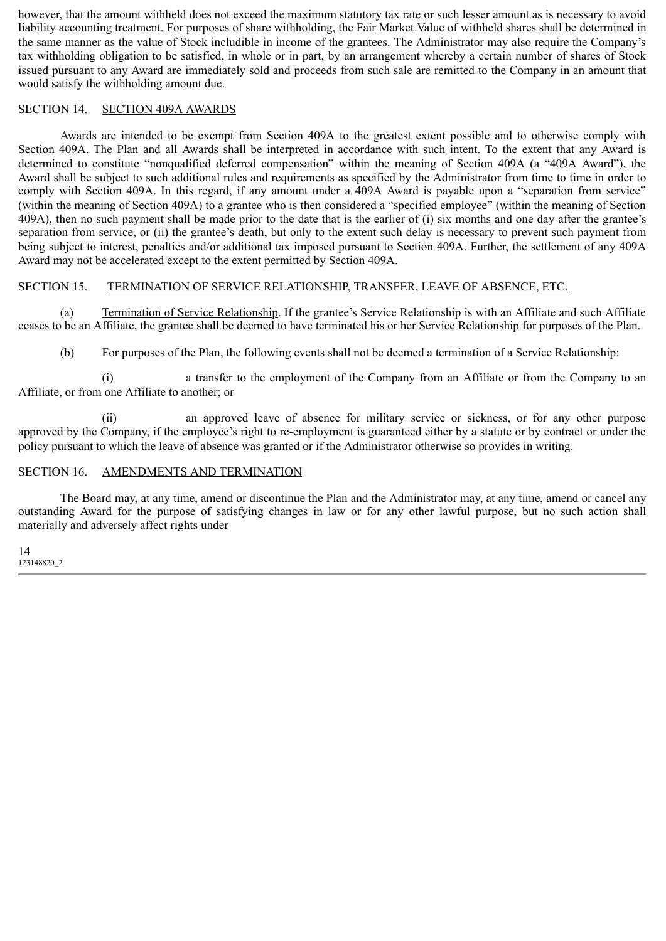however, that the amount withheld does not exceed the maximum statutory tax rate or such lesser amount as is necessary to avoid liability accounting treatment. For purposes of share withholding, the Fair Market Value of withheld shares shall be determined in the same manner as the value of Stock includible in income of the grantees. The Administrator may also require the Company's tax withholding obligation to be satisfied, in whole or in part, by an arrangement whereby a certain number of shares of Stock issued pursuant to any Award are immediately sold and proceeds from such sale are remitted to the Company in an amount that would satisfy the withholding amount due.

#### SECTION 14. SECTION 409A AWARDS

Awards are intended to be exempt from Section 409A to the greatest extent possible and to otherwise comply with Section 409A. The Plan and all Awards shall be interpreted in accordance with such intent. To the extent that any Award is determined to constitute "nonqualified deferred compensation" within the meaning of Section 409A (a "409A Award"), the Award shall be subject to such additional rules and requirements as specified by the Administrator from time to time in order to comply with Section 409A. In this regard, if any amount under a 409A Award is payable upon a "separation from service" (within the meaning of Section 409A) to a grantee who is then considered a "specified employee" (within the meaning of Section 409A), then no such payment shall be made prior to the date that is the earlier of (i) six months and one day after the grantee's separation from service, or (ii) the grantee's death, but only to the extent such delay is necessary to prevent such payment from being subject to interest, penalties and/or additional tax imposed pursuant to Section 409A. Further, the settlement of any 409A Award may not be accelerated except to the extent permitted by Section 409A.

#### SECTION 15. TERMINATION OF SERVICE RELATIONSHIP, TRANSFER, LEAVE OF ABSENCE, ETC.

(a) Termination of Service Relationship. If the grantee's Service Relationship is with an Affiliate and such Affiliate ceases to be an Affiliate, the grantee shall be deemed to have terminated his or her Service Relationship for purposes of the Plan.

(b) For purposes of the Plan, the following events shall not be deemed a termination of a Service Relationship:

(i) a transfer to the employment of the Company from an Affiliate or from the Company to an Affiliate, or from one Affiliate to another; or

(ii) an approved leave of absence for military service or sickness, or for any other purpose approved by the Company, if the employee's right to re-employment is guaranteed either by a statute or by contract or under the policy pursuant to which the leave of absence was granted or if the Administrator otherwise so provides in writing.

#### SECTION 16. AMENDMENTS AND TERMINATION

The Board may, at any time, amend or discontinue the Plan and the Administrator may, at any time, amend or cancel any outstanding Award for the purpose of satisfying changes in law or for any other lawful purpose, but no such action shall materially and adversely affect rights under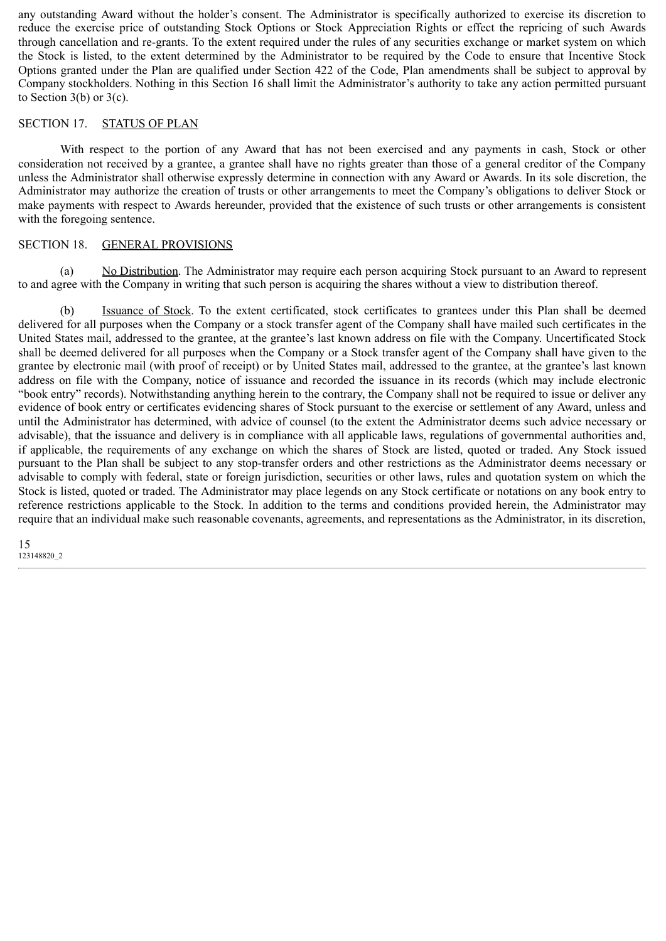any outstanding Award without the holder's consent. The Administrator is specifically authorized to exercise its discretion to reduce the exercise price of outstanding Stock Options or Stock Appreciation Rights or effect the repricing of such Awards through cancellation and re-grants. To the extent required under the rules of any securities exchange or market system on which the Stock is listed, to the extent determined by the Administrator to be required by the Code to ensure that Incentive Stock Options granted under the Plan are qualified under Section 422 of the Code, Plan amendments shall be subject to approval by Company stockholders. Nothing in this Section 16 shall limit the Administrator's authority to take any action permitted pursuant to Section  $3(b)$  or  $3(c)$ .

#### SECTION 17. STATUS OF PLAN

With respect to the portion of any Award that has not been exercised and any payments in cash, Stock or other consideration not received by a grantee, a grantee shall have no rights greater than those of a general creditor of the Company unless the Administrator shall otherwise expressly determine in connection with any Award or Awards. In its sole discretion, the Administrator may authorize the creation of trusts or other arrangements to meet the Company's obligations to deliver Stock or make payments with respect to Awards hereunder, provided that the existence of such trusts or other arrangements is consistent with the foregoing sentence.

#### SECTION 18. GENERAL PROVISIONS

(a) No Distribution. The Administrator may require each person acquiring Stock pursuant to an Award to represent to and agree with the Company in writing that such person is acquiring the shares without a view to distribution thereof.

(b) Issuance of Stock. To the extent certificated, stock certificates to grantees under this Plan shall be deemed delivered for all purposes when the Company or a stock transfer agent of the Company shall have mailed such certificates in the United States mail, addressed to the grantee, at the grantee's last known address on file with the Company. Uncertificated Stock shall be deemed delivered for all purposes when the Company or a Stock transfer agent of the Company shall have given to the grantee by electronic mail (with proof of receipt) or by United States mail, addressed to the grantee, at the grantee's last known address on file with the Company, notice of issuance and recorded the issuance in its records (which may include electronic "book entry" records). Notwithstanding anything herein to the contrary, the Company shall not be required to issue or deliver any evidence of book entry or certificates evidencing shares of Stock pursuant to the exercise or settlement of any Award, unless and until the Administrator has determined, with advice of counsel (to the extent the Administrator deems such advice necessary or advisable), that the issuance and delivery is in compliance with all applicable laws, regulations of governmental authorities and, if applicable, the requirements of any exchange on which the shares of Stock are listed, quoted or traded. Any Stock issued pursuant to the Plan shall be subject to any stop-transfer orders and other restrictions as the Administrator deems necessary or advisable to comply with federal, state or foreign jurisdiction, securities or other laws, rules and quotation system on which the Stock is listed, quoted or traded. The Administrator may place legends on any Stock certificate or notations on any book entry to reference restrictions applicable to the Stock. In addition to the terms and conditions provided herein, the Administrator may require that an individual make such reasonable covenants, agreements, and representations as the Administrator, in its discretion,